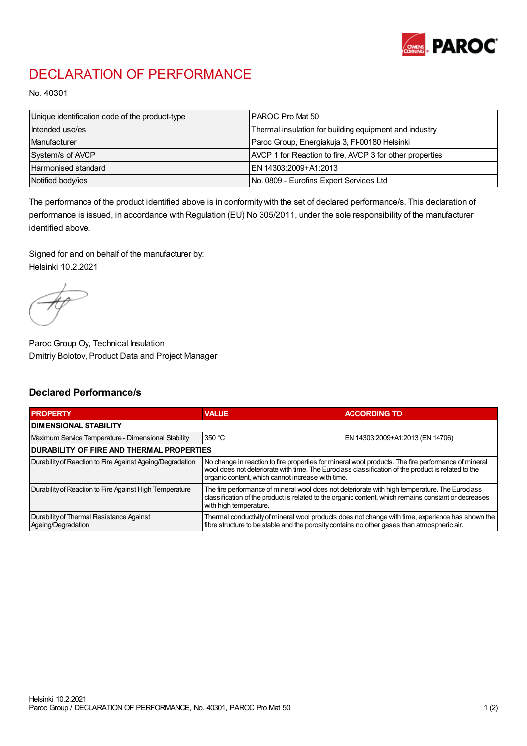

## DECLARATION OF PERFORMANCE

No. 40301

| Unique identification code of the product-type | IPAROC Pro Mat 50                                        |
|------------------------------------------------|----------------------------------------------------------|
| Intended use/es                                | Thermal insulation for building equipment and industry   |
| Manufacturer                                   | Paroc Group, Energiakuja 3, FI-00180 Helsinki            |
| System/s of AVCP                               | AVCP 1 for Reaction to fire, AVCP 3 for other properties |
| Harmonised standard                            | IEN 14303:2009+A1:2013                                   |
| Notified body/ies                              | No. 0809 - Eurofins Expert Services Ltd                  |

The performance of the product identified above is in conformity with the set of declared performance/s. This declaration of performance is issued, in accordance with Regulation (EU) No 305/2011, under the sole responsibility of the manufacturer identified above.

Signed for and on behalf of the manufacturer by: Helsinki 10.2.2021

Paroc Group Oy, Technical Insulation Dmitriy Bolotov, Product Data and Project Manager

## Declared Performance/s

| <b>PROPERTY</b>                                                | <b>VALUE</b>                                                                                                                                                                                                                                                   | <b>ACCORDING TO.</b>             |  |
|----------------------------------------------------------------|----------------------------------------------------------------------------------------------------------------------------------------------------------------------------------------------------------------------------------------------------------------|----------------------------------|--|
| <b>DIMENSIONAL STABILITY</b>                                   |                                                                                                                                                                                                                                                                |                                  |  |
| Maximum Service Temperature - Dimensional Stability            | 350 °C                                                                                                                                                                                                                                                         | EN 14303:2009+A1:2013 (EN 14706) |  |
| <b>DURABILITY OF FIRE AND THERMAL PROPERTIES</b>               |                                                                                                                                                                                                                                                                |                                  |  |
| Durability of Reaction to Fire Against Ageing/Degradation      | No change in reaction to fire properties for mineral wool products. The fire performance of mineral<br>wool does not deteriorate with time. The Euroclass classification of the product is related to the<br>organic content, which cannot increase with time. |                                  |  |
| Durability of Reaction to Fire Against High Temperature        | The fire performance of mineral wool does not deteriorate with high temperature. The Euroclass<br>classification of the product is related to the organic content, which remains constant or decreases<br>with high temperature.                               |                                  |  |
| Durability of Thermal Resistance Against<br>Ageing/Degradation | Thermal conductivity of mineral wool products does not change with time, experience has shown the<br>fibre structure to be stable and the porosity contains no other gases than atmospheric air.                                                               |                                  |  |